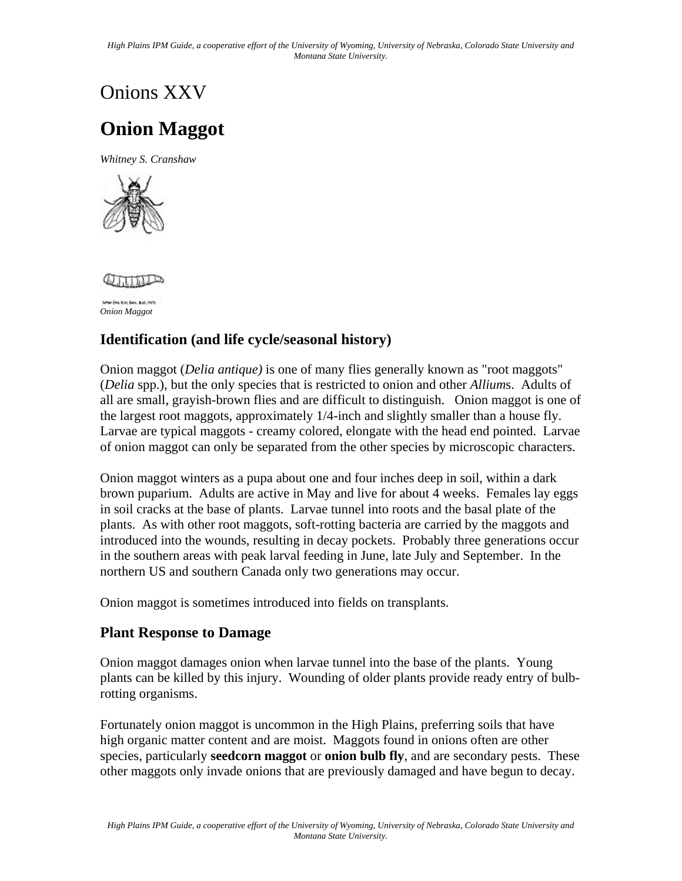# Onions XXV

## **Onion Maggot**

*Whitney S. Cranshaw* 





*Onion Maggot* 

### **Identification (and life cycle/seasonal history)**

Onion maggot (*Delia antique)* is one of many flies generally known as "root maggots" (*Delia* spp.), but the only species that is restricted to onion and other *Allium*s. Adults of all are small, grayish-brown flies and are difficult to distinguish. Onion maggot is one of the largest root maggots, approximately 1/4-inch and slightly smaller than a house fly. Larvae are typical maggots - creamy colored, elongate with the head end pointed. Larvae of onion maggot can only be separated from the other species by microscopic characters.

Onion maggot winters as a pupa about one and four inches deep in soil, within a dark brown puparium. Adults are active in May and live for about 4 weeks. Females lay eggs in soil cracks at the base of plants. Larvae tunnel into roots and the basal plate of the plants. As with other root maggots, soft-rotting bacteria are carried by the maggots and introduced into the wounds, resulting in decay pockets. Probably three generations occur in the southern areas with peak larval feeding in June, late July and September. In the northern US and southern Canada only two generations may occur.

Onion maggot is sometimes introduced into fields on transplants.

#### **Plant Response to Damage**

Onion maggot damages onion when larvae tunnel into the base of the plants. Young plants can be killed by this injury. Wounding of older plants provide ready entry of bulbrotting organisms.

Fortunately onion maggot is uncommon in the High Plains, preferring soils that have high organic matter content and are moist. Maggots found in onions often are other species, particularly **seedcorn maggot** or **onion bulb fly**, and are secondary pests. These other maggots only invade onions that are previously damaged and have begun to decay.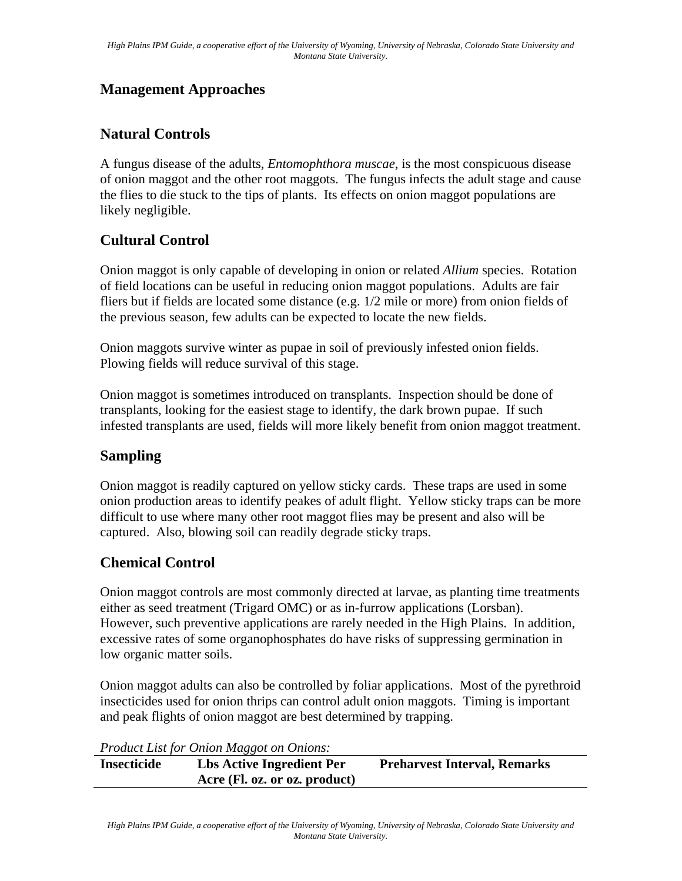#### **Management Approaches**

### **Natural Controls**

A fungus disease of the adults, *Entomophthora muscae*, is the most conspicuous disease of onion maggot and the other root maggots. The fungus infects the adult stage and cause the flies to die stuck to the tips of plants. Its effects on onion maggot populations are likely negligible.

### **Cultural Control**

Onion maggot is only capable of developing in onion or related *Allium* species. Rotation of field locations can be useful in reducing onion maggot populations. Adults are fair fliers but if fields are located some distance (e.g. 1/2 mile or more) from onion fields of the previous season, few adults can be expected to locate the new fields.

Onion maggots survive winter as pupae in soil of previously infested onion fields. Plowing fields will reduce survival of this stage.

Onion maggot is sometimes introduced on transplants. Inspection should be done of transplants, looking for the easiest stage to identify, the dark brown pupae. If such infested transplants are used, fields will more likely benefit from onion maggot treatment.

#### **Sampling**

Onion maggot is readily captured on yellow sticky cards. These traps are used in some onion production areas to identify peakes of adult flight. Yellow sticky traps can be more difficult to use where many other root maggot flies may be present and also will be captured. Also, blowing soil can readily degrade sticky traps.

#### **Chemical Control**

Onion maggot controls are most commonly directed at larvae, as planting time treatments either as seed treatment (Trigard OMC) or as in-furrow applications (Lorsban). However, such preventive applications are rarely needed in the High Plains. In addition, excessive rates of some organophosphates do have risks of suppressing germination in low organic matter soils.

Onion maggot adults can also be controlled by foliar applications. Most of the pyrethroid insecticides used for onion thrips can control adult onion maggots. Timing is important and peak flights of onion maggot are best determined by trapping.

*Product List for Onion Maggot on Onions:* 

| <b>Insecticide</b> | <b>Lbs Active Ingredient Per</b> | <b>Preharvest Interval, Remarks</b> |
|--------------------|----------------------------------|-------------------------------------|
|                    | Acre (Fl. oz. or oz. product)    |                                     |